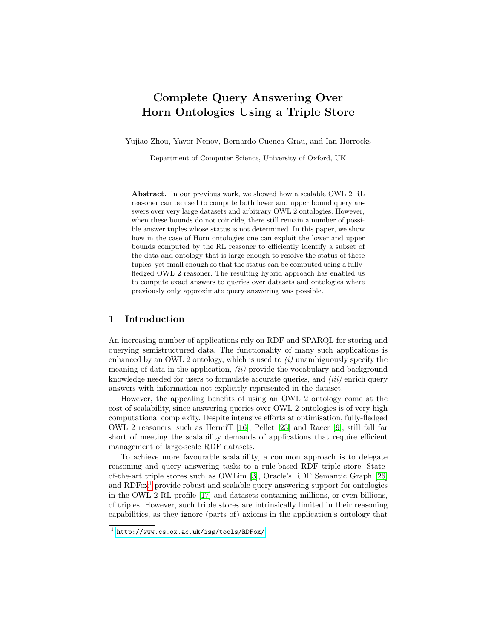# Complete Query Answering Over Horn Ontologies Using a Triple Store

Yujiao Zhou, Yavor Nenov, Bernardo Cuenca Grau, and Ian Horrocks

Department of Computer Science, University of Oxford, UK

Abstract. In our previous work, we showed how a scalable OWL 2 RL reasoner can be used to compute both lower and upper bound query answers over very large datasets and arbitrary OWL 2 ontologies. However, when these bounds do not coincide, there still remain a number of possible answer tuples whose status is not determined. In this paper, we show how in the case of Horn ontologies one can exploit the lower and upper bounds computed by the RL reasoner to efficiently identify a subset of the data and ontology that is large enough to resolve the status of these tuples, yet small enough so that the status can be computed using a fullyfledged OWL 2 reasoner. The resulting hybrid approach has enabled us to compute exact answers to queries over datasets and ontologies where previously only approximate query answering was possible.

# 1 Introduction

An increasing number of applications rely on RDF and SPARQL for storing and querying semistructured data. The functionality of many such applications is enhanced by an OWL 2 ontology, which is used to  $(i)$  unambiguously specify the meaning of data in the application,  $(ii)$  provide the vocabulary and background knowledge needed for users to formulate accurate queries, and *(iii)* enrich query answers with information not explicitly represented in the dataset.

However, the appealing benefits of using an OWL 2 ontology come at the cost of scalability, since answering queries over OWL 2 ontologies is of very high computational complexity. Despite intensive efforts at optimisation, fully-fledged OWL 2 reasoners, such as HermiT [\[16\]](#page-15-0), Pellet [\[23\]](#page-15-1) and Racer [\[9\]](#page-15-2), still fall far short of meeting the scalability demands of applications that require efficient management of large-scale RDF datasets.

To achieve more favourable scalability, a common approach is to delegate reasoning and query answering tasks to a rule-based RDF triple store. Stateof-the-art triple stores such as OWLim [\[3\]](#page-14-0), Oracle's RDF Semantic Graph [\[26\]](#page-15-3) and  $RDFox<sup>1</sup>$  $RDFox<sup>1</sup>$  $RDFox<sup>1</sup>$  provide robust and scalable query answering support for ontologies in the OWL 2 RL profile [\[17\]](#page-15-4) and datasets containing millions, or even billions, of triples. However, such triple stores are intrinsically limited in their reasoning capabilities, as they ignore (parts of) axioms in the application's ontology that

<span id="page-0-0"></span><sup>1</sup> <http://www.cs.ox.ac.uk/isg/tools/RDFox/>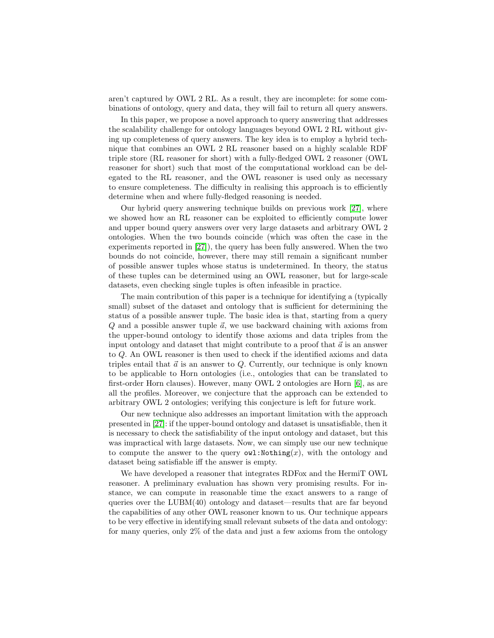aren't captured by OWL 2 RL. As a result, they are incomplete: for some combinations of ontology, query and data, they will fail to return all query answers.

In this paper, we propose a novel approach to query answering that addresses the scalability challenge for ontology languages beyond OWL 2 RL without giving up completeness of query answers. The key idea is to employ a hybrid technique that combines an OWL 2 RL reasoner based on a highly scalable RDF triple store (RL reasoner for short) with a fully-fledged OWL 2 reasoner (OWL reasoner for short) such that most of the computational workload can be delegated to the RL reasoner, and the OWL reasoner is used only as necessary to ensure completeness. The difficulty in realising this approach is to efficiently determine when and where fully-fledged reasoning is needed.

Our hybrid query answering technique builds on previous work [\[27\]](#page-15-5), where we showed how an RL reasoner can be exploited to efficiently compute lower and upper bound query answers over very large datasets and arbitrary OWL 2 ontologies. When the two bounds coincide (which was often the case in the experiments reported in [\[27\]](#page-15-5)), the query has been fully answered. When the two bounds do not coincide, however, there may still remain a significant number of possible answer tuples whose status is undetermined. In theory, the status of these tuples can be determined using an OWL reasoner, but for large-scale datasets, even checking single tuples is often infeasible in practice.

The main contribution of this paper is a technique for identifying a (typically small) subset of the dataset and ontology that is sufficient for determining the status of a possible answer tuple. The basic idea is that, starting from a query  $Q$  and a possible answer tuple  $\vec{a}$ , we use backward chaining with axioms from the upper-bound ontology to identify those axioms and data triples from the input ontology and dataset that might contribute to a proof that  $\vec{a}$  is an answer to Q. An OWL reasoner is then used to check if the identified axioms and data triples entail that  $\vec{a}$  is an answer to Q. Currently, our technique is only known to be applicable to Horn ontologies (i.e., ontologies that can be translated to first-order Horn clauses). However, many OWL 2 ontologies are Horn [\[6\]](#page-15-6), as are all the profiles. Moreover, we conjecture that the approach can be extended to arbitrary OWL 2 ontologies; verifying this conjecture is left for future work.

Our new technique also addresses an important limitation with the approach presented in [\[27\]](#page-15-5): if the upper-bound ontology and dataset is unsatisfiable, then it is necessary to check the satisfiability of the input ontology and dataset, but this was impractical with large datasets. Now, we can simply use our new technique to compute the answer to the query  $\texttt{owl}:\texttt{Nothing}(x)$ , with the ontology and dataset being satisfiable iff the answer is empty.

We have developed a reasoner that integrates RDFox and the HermiT OWL reasoner. A preliminary evaluation has shown very promising results. For instance, we can compute in reasonable time the exact answers to a range of queries over the LUBM(40) ontology and dataset—results that are far beyond the capabilities of any other OWL reasoner known to us. Our technique appears to be very effective in identifying small relevant subsets of the data and ontology: for many queries, only 2% of the data and just a few axioms from the ontology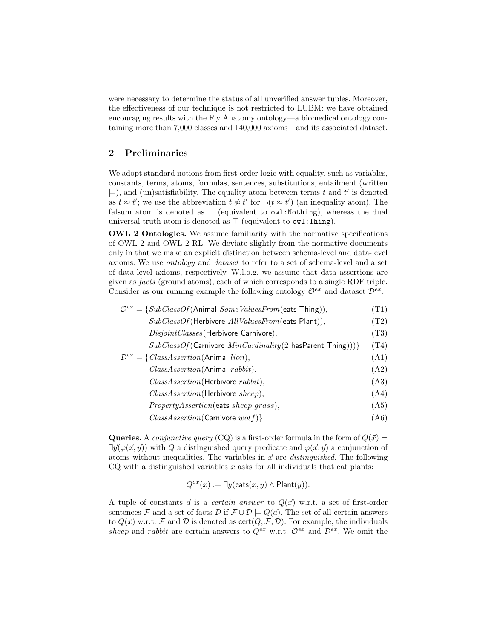were necessary to determine the status of all unverified answer tuples. Moreover, the effectiveness of our technique is not restricted to LUBM: we have obtained encouraging results with the Fly Anatomy ontology—a biomedical ontology containing more than 7,000 classes and 140,000 axioms—and its associated dataset.

# 2 Preliminaries

We adopt standard notions from first-order logic with equality, such as variables, constants, terms, atoms, formulas, sentences, substitutions, entailment (written  $\models$ ), and (un)satisfiability. The equality atom between terms t and t' is denoted as  $t \approx t'$ ; we use the abbreviation  $t \not\approx t'$  for  $\neg (t \approx t')$  (an inequality atom). The falsum atom is denoted as  $\perp$  (equivalent to owl:Nothing), whereas the dual universal truth atom is denoted as  $\top$  (equivalent to  $\texttt{owl:}$  Thing).

OWL 2 Ontologies. We assume familiarity with the normative specifications of OWL 2 and OWL 2 RL. We deviate slightly from the normative documents only in that we make an explicit distinction between schema-level and data-level axioms. We use ontology and dataset to refer to a set of schema-level and a set of data-level axioms, respectively. W.l.o.g. we assume that data assertions are given as facts (ground atoms), each of which corresponds to a single RDF triple. Consider as our running example the following ontology  $\mathcal{O}^{ex}$  and dataset  $\mathcal{D}^{ex}$ .

<span id="page-2-2"></span>

| $\mathcal{O}^{ex} = \{SubClassOf(\text{Animal SomeValuesFrom}(\text{eats Thing})),$ | (T1) |
|-------------------------------------------------------------------------------------|------|
| $SubClassOf(Herbivore All ValuesFrom(eats Plant)),$                                 | (T2) |
| DisjointClasses (Herbivore Carnivore),                                              | (T3) |
| $SubClassOf(Carnivore MinCardinality(2 hasParent)$                                  | (T4) |
| $\mathcal{D}^{ex} = \{ClassAssetion(\text{Animal } lion),\}$                        | (A1) |
| ClassAssertion(Animal rabbit),                                                      | (A2) |
| Class Association(Herbivore rabbit),                                                | (A3) |
| ClassAssertion(Herbivore sheep),                                                    | (A4) |
| <i>PropertyAssertion</i> (eats <i>sheep grass</i> ),                                | (A5) |
| $ClassAssetion(Carnivore \; wolf)\}$                                                | (A6) |

Queries. A *conjunctive query* (CQ) is a first-order formula in the form of  $Q(\vec{x}) =$  $\exists \vec{y}(\varphi(\vec{x}, \vec{y}))$  with Q a distinguished query predicate and  $\varphi(\vec{x}, \vec{y})$  a conjunction of atoms without inequalities. The variables in  $\vec{x}$  are *distinguished*. The following  $CQ$  with a distinguished variables  $x$  asks for all individuals that eat plants:

<span id="page-2-5"></span><span id="page-2-4"></span><span id="page-2-3"></span><span id="page-2-1"></span><span id="page-2-0"></span>
$$
Q^{ex}(x) := \exists y (\text{eats}(x, y) \land \text{Plant}(y)).
$$

A tuple of constants  $\vec{a}$  is a *certain answer* to  $Q(\vec{x})$  w.r.t. a set of first-order sentences F and a set of facts D if  $\mathcal{F} \cup \mathcal{D} \models Q(\vec{a})$ . The set of all certain answers to  $Q(\vec{x})$  w.r.t. F and D is denoted as  $\text{cert}(Q, \mathcal{F}, \mathcal{D})$ . For example, the individuals sheep and rabbit are certain answers to  $Q^{ex}$  w.r.t.  $\mathcal{O}^{ex}$  and  $\mathcal{D}^{ex}$ . We omit the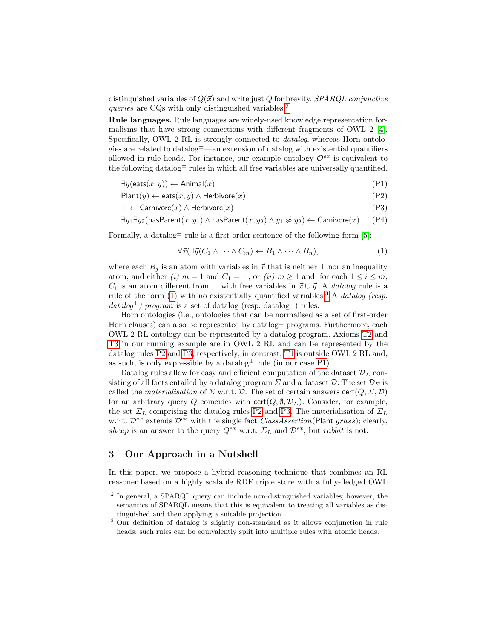distinguished variables of  $Q(\vec{x})$  and write just Q for brevity. SPARQL conjunctive queries are CQs with only distinguished variables.<sup>[2](#page-3-0)</sup>

Rule languages. Rule languages are widely-used knowledge representation formalisms that have strong connections with different fragments of OWL 2 [\[4\]](#page-14-1). Specifically, OWL 2 RL is strongly connected to datalog, whereas Horn ontologies are related to datalog  $\pm$ —an extension of datalog with existential quantifiers allowed in rule heads. For instance, our example ontology  $\mathcal{O}^{ex}$  is equivalent to the following datalog  $\pm$  rules in which all free variables are universally quantified.

$$
\exists y (\text{eats}(x, y)) \leftarrow \text{Animal}(x) \tag{P1}
$$

$$
Plant(y) \leftarrow eats(x, y) \land Herbivore(x)
$$
 (P2)

$$
\bot \leftarrow \text{Carnivore}(x) \land \text{Herbivore}(x) \tag{P3}
$$

$$
\exists y_1 \exists y_2 (\mathsf{hasParent}(x, y_1) \land \mathsf{hasParent}(x, y_2) \land y_1 \not\approx y_2) \leftarrow \mathsf{Carnivore}(x) \qquad \text{(P4)}
$$

Formally, a datalog  $\pm$  rule is a first-order sentence of the following form [\[5\]](#page-14-2):

<span id="page-3-6"></span><span id="page-3-5"></span><span id="page-3-4"></span><span id="page-3-3"></span><span id="page-3-1"></span>
$$
\forall \vec{x} (\exists \vec{y} (C_1 \land \dots \land C_m) \leftarrow B_1 \land \dots \land B_n), \tag{1}
$$

where each  $B_i$  is an atom with variables in  $\vec{x}$  that is neither  $\perp$  nor an inequality atom, and either (i)  $m = 1$  and  $C_1 = \perp$ , or (ii)  $m \ge 1$  and, for each  $1 \le i \le m$ ,  $C_i$  is an atom different from  $\perp$  with free variables in  $\vec{x} \cup \vec{y}$ . A *datalog* rule is a rule of the form [\(1\)](#page-3-1) with no existentially quantified variables.<sup>[3](#page-3-2)</sup> A *datalog* (resp.  $datalog^{\pm}$ ) program is a set of datalog (resp. datalog<sup> $\pm$ </sup>) rules.

Horn ontologies (i.e., ontologies that can be normalised as a set of first-order Horn clauses) can also be represented by datalog  $\pm$  programs. Furthermore, each OWL 2 RL ontology can be represented by a datalog program. Axioms [T2](#page-2-0) and [T3](#page-2-1) in our running example are in OWL 2 RL and can be represented by the datalog rules [P2](#page-3-3) and [P3,](#page-3-4) respectively; in contrast, [T1](#page-2-2) is outside OWL 2 RL and, as such, is only expressible by a datalog  $\pm$  rule (in our case [P1\)](#page-3-5).

Datalog rules allow for easy and efficient computation of the dataset  $\mathcal{D}_{\Sigma}$  consisting of all facts entailed by a datalog program  $\Sigma$  and a dataset  $\mathcal{D}$ . The set  $\mathcal{D}_{\Sigma}$  is called the *materialisation* of  $\Sigma$  w.r.t. D. The set of certain answers cert $(Q, \Sigma, \mathcal{D})$ for an arbitrary query Q coincides with  $\text{cert}(Q, \emptyset, \mathcal{D}_\Sigma)$ . Consider, for example, the set  $\Sigma_L$  comprising the datalog rules [P2](#page-3-3) and [P3.](#page-3-4) The materialisation of  $\Sigma_L$ w.r.t.  $\mathcal{D}^{ex}$  extends  $\mathcal{D}^{ex}$  with the single fact *ClassAssertion*(Plant grass); clearly, sheep is an answer to the query  $Q^{ex}$  w.r.t.  $\Sigma_L$  and  $\mathcal{D}^{ex}$ , but rabbit is not.

## <span id="page-3-7"></span>3 Our Approach in a Nutshell

In this paper, we propose a hybrid reasoning technique that combines an RL reasoner based on a highly scalable RDF triple store with a fully-fledged OWL

<span id="page-3-0"></span><sup>&</sup>lt;sup>2</sup> In general, a SPARQL query can include non-distinguished variables; however, the semantics of SPARQL means that this is equivalent to treating all variables as distinguished and then applying a suitable projection.

<span id="page-3-2"></span><sup>&</sup>lt;sup>3</sup> Our definition of datalog is slightly non-standard as it allows conjunction in rule heads; such rules can be equivalently split into multiple rules with atomic heads.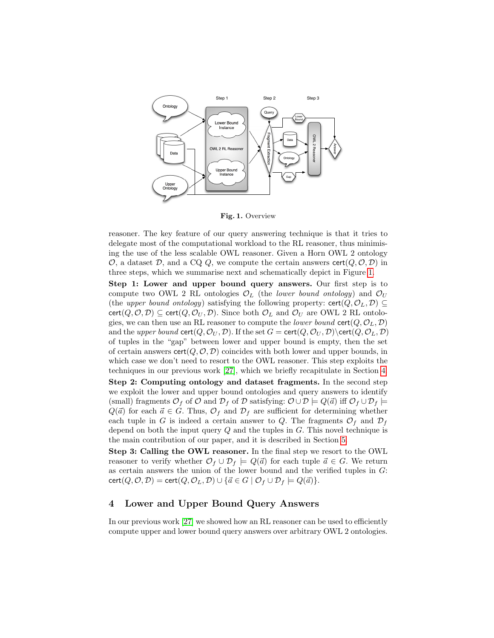

<span id="page-4-0"></span>Fig. 1. Overview

reasoner. The key feature of our query answering technique is that it tries to delegate most of the computational workload to the RL reasoner, thus minimising the use of the less scalable OWL reasoner. Given a Horn OWL 2 ontology  $\mathcal{O}$ , a dataset  $\mathcal{D}$ , and a CQ Q, we compute the certain answers cert $(Q, \mathcal{O}, \mathcal{D})$  in three steps, which we summarise next and schematically depict in Figure [1.](#page-4-0)

Step 1: Lower and upper bound query answers. Our first step is to compute two OWL 2 RL ontologies  $\mathcal{O}_L$  (the *lower bound ontology*) and  $\mathcal{O}_U$ (the upper bound ontology) satisfying the following property:  $\text{cert}(Q, \mathcal{O}_L, \mathcal{D}) \subseteq$ cert( $Q, \mathcal{O}, \mathcal{D}$ )  $\subseteq$  cert( $Q, \mathcal{O}_U, \mathcal{D}$ ). Since both  $\mathcal{O}_L$  and  $\mathcal{O}_U$  are OWL 2 RL ontologies, we can then use an RL reasoner to compute the *lower bound* cert $(Q, \mathcal{O}_L, \mathcal{D})$ and the upper bound  $\text{cert}(Q, \mathcal{O}_U, \mathcal{D})$ . If the set  $G = \text{cert}(Q, \mathcal{O}_U, \mathcal{D})\text{cert}(Q, \mathcal{O}_L, \mathcal{D})$ of tuples in the "gap" between lower and upper bound is empty, then the set of certain answers  $\text{cert}(Q, \mathcal{O}, \mathcal{D})$  coincides with both lower and upper bounds, in which case we don't need to resort to the OWL reasoner. This step exploits the techniques in our previous work [\[27\]](#page-15-5), which we briefly recapitulate in Section [4.](#page-4-1)

Step 2: Computing ontology and dataset fragments. In the second step we exploit the lower and upper bound ontologies and query answers to identify (small) fragments  $\mathcal{O}_f$  of  $\mathcal O$  and  $\mathcal{D}_f$  of  $\mathcal D$  satisfying:  $\mathcal O \cup \mathcal D \models Q(\vec a)$  iff  $\mathcal O_f \cup \mathcal{D}_f \models$  $Q(\vec{a})$  for each  $\vec{a} \in G$ . Thus,  $\mathcal{O}_f$  and  $\mathcal{D}_f$  are sufficient for determining whether each tuple in G is indeed a certain answer to Q. The fragments  $\mathcal{O}_f$  and  $\mathcal{D}_f$ depend on both the input query  $Q$  and the tuples in  $G$ . This novel technique is the main contribution of our paper, and it is described in Section [5.](#page-6-0)

Step 3: Calling the OWL reasoner. In the final step we resort to the OWL reasoner to verify whether  $\mathcal{O}_f \cup \mathcal{D}_f \models Q(\vec{a})$  for each tuple  $\vec{a} \in G$ . We return as certain answers the union of the lower bound and the verified tuples in  $G$ :  $cert(Q, O, D) = cert(Q, O<sub>L</sub>, D) \cup \{ \vec{a} \in G \mid O_f \cup D_f \models Q(\vec{a}) \}.$ 

## <span id="page-4-1"></span>4 Lower and Upper Bound Query Answers

In our previous work [\[27\]](#page-15-5) we showed how an RL reasoner can be used to efficiently compute upper and lower bound query answers over arbitrary OWL 2 ontologies.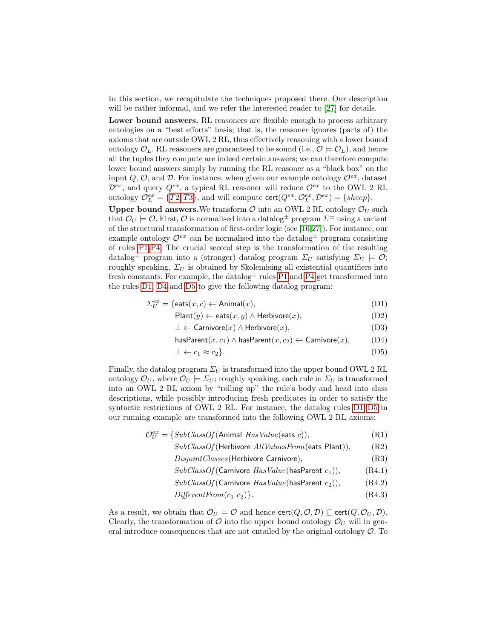In this section, we recapitulate the techniques proposed there. Our description will be rather informal, and we refer the interested reader to [\[27\]](#page-15-5) for details.

Lower bound answers. RL reasoners are flexible enough to process arbitrary ontologies on a "best efforts" basis; that is, the reasoner ignores (parts of) the axioms that are outside OWL 2 RL, thus effectively reasoning with a lower bound ontology  $\mathcal{O}_L$ . RL reasoners are guaranteed to be sound (i.e.,  $\mathcal{O} \models \mathcal{O}_L$ ), and hence all the tuples they compute are indeed certain answers; we can therefore compute lower bound answers simply by running the RL reasoner as a "black box" on the input Q,  $\mathcal{O}$ , and  $\mathcal{D}$ . For instance, when given our example ontology  $\mathcal{O}^{ex}$ , dataset  $\mathcal{D}^{ex}$ , and query  $Q^{ex}$ , a typical RL reasoner will reduce  $\mathcal{O}^{ex}$  to the OWL 2 RL ontology  $\mathcal{O}_L^{ex} = \{T2, T3\}$  $\mathcal{O}_L^{ex} = \{T2, T3\}$  $\mathcal{O}_L^{ex} = \{T2, T3\}$  $\mathcal{O}_L^{ex} = \{T2, T3\}$  $\mathcal{O}_L^{ex} = \{T2, T3\}$ , and will compute  $\text{cert}(Q^{ex}, \mathcal{O}_L^{ex}, \mathcal{D}^{ex}) = \{sheep\}.$ 

Upper bound answers. We transform  $\mathcal O$  into an OWL 2 RL ontology  $\mathcal O_U$  such that  $\mathcal{O}_U \models \mathcal{O}$ . First,  $\mathcal{O}$  is normalised into a datalog program  $\Sigma^{\pm}$  using a variant of the structural transformation of first-order logic (see [\[16,](#page-15-0)[27\]](#page-15-5)). For instance, our example ontology  $\mathcal{O}^{ex}$  can be normalised into the datalog<sup> $\pm$ </sup> program consisting of rules [P1-](#page-3-5)[P4.](#page-3-6) The crucial second step is the transformation of the resulting datalog<sup> $\pm$ </sup> program into a (stronger) datalog program  $\Sigma_U$  satisfying  $\Sigma_U \models \mathcal{O};$ roughly speaking,  $\Sigma_U$  is obtained by Skolemising all existential quantifiers into fresh constants. For example, the datalog  $\pm$  rules [P1](#page-3-5) and [P4](#page-3-6) get transformed into the rules [D1,](#page-5-0) [D4](#page-5-1) and [D5](#page-5-2) to give the following datalog program:

$$
\Sigma_U^{ex} = \{ \text{eats}(x, c) \leftarrow \text{Animal}(x), \tag{D1}
$$

$$
Plant(y) \leftarrow eats(x, y) \land Herbivore(x), \tag{D2}
$$

<span id="page-5-5"></span><span id="page-5-1"></span><span id="page-5-0"></span>
$$
\perp \leftarrow \text{Carnivore}(x) \land \text{Herbivore}(x), \tag{D3}
$$

$$
\mathsf{hasParent}(x, c_1) \land \mathsf{hasParent}(x, c_2) \leftarrow \mathsf{Carnivore}(x), \tag{D4}
$$

<span id="page-5-2"></span>
$$
\perp \leftarrow c_1 \approx c_2 \}. \tag{D5}
$$

Finally, the datalog program  $\Sigma_U$  is transformed into the upper bound OWL 2 RL ontology  $\mathcal{O}_U$ , where  $\mathcal{O}_U \models \Sigma_U$ ; roughly speaking, each rule in  $\Sigma_U$  is transformed into an OWL 2 RL axiom by "rolling up" the rule's body and head into class descriptions, while possibly introducing fresh predicates in order to satisfy the syntactic restrictions of OWL 2 RL. For instance, the datalog rules [D1–](#page-5-0)[D5](#page-5-2) in our running example are transformed into the following OWL 2 RL axioms:

$$
\mathcal{O}_U^{ex} = \{SubClassOf(\text{Animal HasValue}(\text{eats } c)), \tag{R1}
$$

- $SubClassOf$ (Herbivore  $AllValuesFrom$ (eats Plant)),  $(R2)$ 
	- $DisjointClasses$ (Herbivore Carnivore),  $(R3)$

<span id="page-5-4"></span><span id="page-5-3"></span>
$$
SubClassOf(\text{Carnivore } HasValue(\text{hasParent } c_1)), \qquad (R4.1)
$$

- $SubClassOf(Carnivore HasValue(hasParent c_2)),$  (R4.2)
- $DifferentFrom(c_1 \ c_2)\}.$  (R4.3)

As a result, we obtain that  $\mathcal{O}_U \models \mathcal{O}$  and hence  $\text{cert}(Q, \mathcal{O}, \mathcal{D}) \subseteq \text{cert}(Q, \mathcal{O}_U, \mathcal{D})$ . Clearly, the transformation of  $\mathcal O$  into the upper bound ontology  $\mathcal O_U$  will in general introduce consequences that are not entailed by the original ontology  $\mathcal{O}$ . To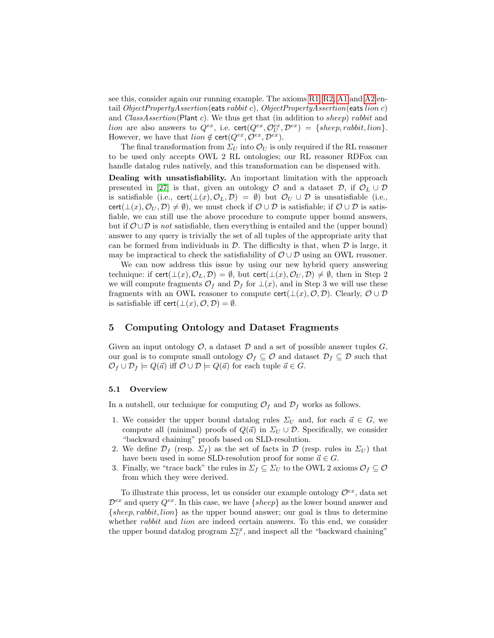see this, consider again our running example. The axioms [R1,](#page-5-3) [R2,](#page-5-4) [A1](#page-2-3) and [A2](#page-2-4) entail  $ObjectPropertyA assertion(eats rabbit c)$ ,  $ObjectPropertyA assertion(eats lion c)$ and  $ClassAssociation(Plant c)$ . We thus get that (in addition to *sheep)* rabbit and *lion* are also answers to  $Q^{ex}$ , i.e.  $\text{cert}(Q^{ex}, \mathcal{O}_U^{ex}, \mathcal{D}^{ex}) = \{sheep, rabbit, lion\}.$ However, we have that  $\text{lion} \notin \text{cert}(Q^{ex}, \mathcal{O}^{ex}, \mathcal{D}^{ex}).$ 

The final transformation from  $\Sigma_U$  into  $\mathcal{O}_U$  is only required if the RL reasoner to be used only accepts OWL 2 RL ontologies; our RL reasoner RDFox can handle datalog rules natively, and this transformation can be dispensed with.

Dealing with unsatisfiability. An important limitation with the approach presented in [\[27\]](#page-15-5) is that, given an ontology  $\mathcal O$  and a dataset  $\mathcal D$ , if  $\mathcal O_L \cup \mathcal D$ is satisfiable (i.e., cert $(\bot(x), \mathcal{O}_L, \mathcal{D}) = \emptyset$ ) but  $\mathcal{O}_U \cup \mathcal{D}$  is unsatisfiable (i.e., cert( $\bot(x), \mathcal{O}_U, \mathcal{D} \neq \emptyset$ ), we must check if  $\mathcal{O} \cup \mathcal{D}$  is satisfiable; if  $\mathcal{O} \cup \mathcal{D}$  is satisfiable, we can still use the above procedure to compute upper bound answers, but if  $\mathcal{O} \cup \mathcal{D}$  is not satisfiable, then everything is entailed and the (upper bound) answer to any query is trivially the set of all tuples of the appropriate arity that can be formed from individuals in  $\mathcal D$ . The difficulty is that, when  $\mathcal D$  is large, it may be impractical to check the satisfiability of  $\mathcal{O} \cup \mathcal{D}$  using an OWL reasoner.

We can now address this issue by using our new hybrid query answering technique: if cert( $\bot(x), \mathcal{O}_L, \mathcal{D} = \emptyset$ , but cert( $\bot(x), \mathcal{O}_U, \mathcal{D} \neq \emptyset$ , then in Step 2 we will compute fragments  $\mathcal{O}_f$  and  $\mathcal{D}_f$  for  $\perp(x)$ , and in Step 3 we will use these fragments with an OWL reasoner to compute cert( $\bot(x), \mathcal{O}, \mathcal{D}$ ). Clearly,  $\mathcal{O} \cup \mathcal{D}$ is satisfiable iff cert $(\bot(x), \mathcal{O}, \mathcal{D}) = \emptyset$ .

## <span id="page-6-0"></span>5 Computing Ontology and Dataset Fragments

Given an input ontology  $\mathcal{O}$ , a dataset  $\mathcal{D}$  and a set of possible answer tuples  $G$ . our goal is to compute small ontology  $\mathcal{O}_f \subseteq \mathcal{O}$  and dataset  $\mathcal{D}_f \subseteq \mathcal{D}$  such that  $\mathcal{O}_f \cup \mathcal{D}_f \models Q(\vec{a})$  iff  $\mathcal{O} \cup \mathcal{D} \models Q(\vec{a})$  for each tuple  $\vec{a} \in G$ .

#### 5.1 Overview

In a nutshell, our technique for computing  $\mathcal{O}_f$  and  $\mathcal{D}_f$  works as follows.

- 1. We consider the upper bound datalog rules  $\Sigma_U$  and, for each  $\vec{a} \in G$ , we compute all (minimal) proofs of  $Q(\vec{a})$  in  $\Sigma_U \cup \mathcal{D}$ . Specifically, we consider "backward chaining" proofs based on SLD-resolution.
- 2. We define  $\mathcal{D}_f$  (resp.  $\Sigma_f$ ) as the set of facts in  $\mathcal{D}$  (resp. rules in  $\Sigma_U$ ) that have been used in some SLD-resolution proof for some  $\vec{a} \in G$ .
- 3. Finally, we "trace back" the rules in  $\Sigma_f \subseteq \Sigma_U$  to the OWL 2 axioms  $\mathcal{O}_f \subseteq \mathcal{O}$ from which they were derived.

To illustrate this process, let us consider our example ontology  $\mathcal{O}^{ex}$ , data set  $\mathcal{D}^{ex}$  and query  $Q^{ex}$ . In this case, we have  $\{sheep\}$  as the lower bound answer and  $\{sheep, rabbit, lion\}$  as the upper bound answer; our goal is thus to determine whether *rabbit* and *lion* are indeed certain answers. To this end, we consider the upper bound datalog program  $\Sigma_U^{ex}$ , and inspect all the "backward chaining"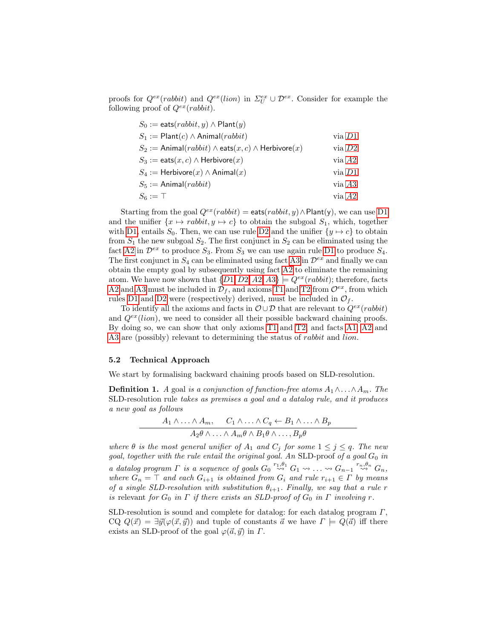proofs for  $Q^{ex}(rabbit)$  and  $Q^{ex}(lion)$  in  $\Sigma_U^{ex} \cup \mathcal{D}^{ex}$ . Consider for example the following proof of  $Q^{ex}(rabbit)$ .

| $S_0 :=$ eats $(rabbit, y) \wedge$ Plant $(y)$                         |            |
|------------------------------------------------------------------------|------------|
| $S_1 := \text{Plant}(c) \wedge \text{Animal}(rabbit)$                  | $via\;D1$  |
| $S_2 :=$ Animal $(rabbit) \wedge$ eats $(x, c) \wedge$ Herbivore $(x)$ | via $D2$   |
| $S_3 := \text{eats}(x, c) \wedge \text{Herbivore}(x)$                  | via A2     |
| $S_4 :=$ Herbivore $(x) \wedge$ Animal $(x)$                           | $via\;D1$  |
| $S_5 :=$ Animal( <i>rabbit</i> )                                       | $via\; A3$ |
| $S_6 := \top$                                                          | via A2     |

Starting from the goal  $Q^{ex}(rabbit) = \text{eats}(rabbit, y) \wedge \text{Plant}(y)$ , we can use [D1](#page-5-0) and the unifier  $\{x \mapsto rabbit, y \mapsto c\}$  to obtain the subgoal  $S_1$ , which, together with [D1,](#page-5-0) entails  $S_0$ . Then, we can use rule [D2](#page-5-5) and the unifier  $\{y \mapsto c\}$  to obtain from  $S_1$  the new subgoal  $S_2$ . The first conjunct in  $S_2$  can be eliminated using the fact [A2](#page-2-4) in  $\mathcal{D}^{ex}$  to produce  $S_3$ . From  $S_3$  we can use again rule [D1](#page-5-0) to produce  $S_4$ . The first conjunct in  $S_4$  can be eliminated using fact [A3](#page-2-5) in  $\mathcal{D}^{ex}$  and finally we can obtain the empty goal by subsequently using fact [A2](#page-2-4) to eliminate the remaining atom. We have now shown that  $\{D1, D2, A2, A3\} \models Q^{ex}(rabbit)$  $\{D1, D2, A2, A3\} \models Q^{ex}(rabbit)$  $\{D1, D2, A2, A3\} \models Q^{ex}(rabbit)$  $\{D1, D2, A2, A3\} \models Q^{ex}(rabbit)$  $\{D1, D2, A2, A3\} \models Q^{ex}(rabbit)$  $\{D1, D2, A2, A3\} \models Q^{ex}(rabbit)$  $\{D1, D2, A2, A3\} \models Q^{ex}(rabbit)$ ; therefore, facts [A2](#page-2-4) and [A3](#page-2-5) must be included in  $\mathcal{D}_f$ , and axioms [T1](#page-2-2) and [T2](#page-2-0) from  $\mathcal{O}^{ex}$ , from which rules [D1](#page-5-0) and [D2](#page-5-5) were (respectively) derived, must be included in  $\mathcal{O}_f$ .

To identify all the axioms and facts in  $\mathcal{O} \cup \mathcal{D}$  that are relevant to  $Q^{ex}(rabbit)$ and  $Q^{ex}(lion)$ , we need to consider all their possible backward chaining proofs. By doing so, we can show that only axioms [T1](#page-2-2) and [T2,](#page-2-0) and facts [A1,](#page-2-3) [A2](#page-2-4) and [A3](#page-2-5) are (possibly) relevant to determining the status of *rabbit* and *lion*.

#### 5.2 Technical Approach

We start by formalising backward chaining proofs based on SLD-resolution.

**Definition 1.** A goal is a conjunction of function-free atoms  $A_1 \wedge \ldots \wedge A_m$ . The SLD-resolution rule takes as premises a goal and a datalog rule, and it produces a new goal as follows

$$
A_1 \wedge \ldots \wedge A_m, \quad C_1 \wedge \ldots \wedge C_q \leftarrow B_1 \wedge \ldots \wedge B_p
$$

$$
A_2 \theta \wedge \ldots \wedge A_m \theta \wedge B_1 \theta \wedge \ldots, B_p \theta
$$

where  $\theta$  is the most general unifier of  $A_1$  and  $C_j$  for some  $1 \leq j \leq q$ . The new goal, together with the rule entail the original goal. An SLD-proof of a goal  $G_0$  in a datalog program  $\Gamma$  is a sequence of goals  $G_0 \stackrel{r_1,\theta_1}{\leadsto} G_1 \leadsto \ldots \leadsto G_{n-1} \stackrel{r_n,\theta_n}{\leadsto} G_n$ , where  $G_n = \top$  and each  $G_{i+1}$  is obtained from  $G_i$  and rule  $r_{i+1} \in \Gamma$  by means of a single SLD-resolution with substitution  $\theta_{i+1}$ . Finally, we say that a rule r is relevant for  $G_0$  in  $\Gamma$  if there exists an SLD-proof of  $G_0$  in  $\Gamma$  involving  $r$ .

SLD-resolution is sound and complete for datalog: for each datalog program  $\Gamma$ , CQ  $Q(\vec{x}) = \exists \vec{y}(\varphi(\vec{x}, \vec{y}))$  and tuple of constants  $\vec{a}$  we have  $\Gamma \models Q(\vec{a})$  iff there exists an SLD-proof of the goal  $\varphi(\vec{a}, \vec{y})$  in  $\Gamma$ .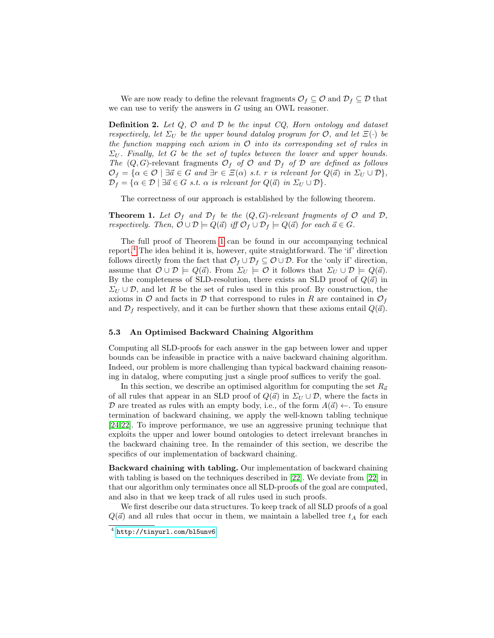We are now ready to define the relevant fragments  $\mathcal{O}_f \subseteq \mathcal{O}$  and  $\mathcal{D}_f \subseteq \mathcal{D}$  that we can use to verify the answers in  $G$  using an OWL reasoner.

**Definition 2.** Let  $Q$ ,  $O$  and  $D$  be the input  $CQ$ , Horn ontology and dataset respectively, let  $\Sigma_U$  be the upper bound datalog program for  $\mathcal{O}$ , and let  $\Xi(\cdot)$  be the function mapping each axiom in  $O$  into its corresponding set of rules in  $\Sigma_U$ . Finally, let G be the set of tuples between the lower and upper bounds. The  $(Q, G)$ -relevant fragments  $\mathcal{O}_f$  of  $\mathcal O$  and  $\mathcal{D}_f$  of  $\mathcal D$  are defined as follows  $\mathcal{O}_f = \{\alpha \in \mathcal{O} \mid \exists \vec{\alpha} \in G \text{ and } \exists r \in \Xi(\alpha) \text{ s.t. } r \text{ is relevant for } Q(\vec{\alpha}) \text{ in } \Sigma_U \cup \mathcal{D} \},\$  $\mathcal{D}_f = {\alpha \in \mathcal{D} \mid \exists \vec{a} \in G \text{ s.t. } \alpha \text{ is relevant for } Q(\vec{a}) \text{ in } \Sigma_U \cup \mathcal{D}}.$ 

The correctness of our approach is established by the following theorem.

<span id="page-8-0"></span>**Theorem 1.** Let  $\mathcal{O}_f$  and  $\mathcal{D}_f$  be the  $(Q, G)$ -relevant fragments of  $\mathcal{O}$  and  $\mathcal{D}_f$ , respectively. Then,  $\mathcal{O} \cup \mathcal{D} \models Q(\vec{a})$  iff  $\mathcal{O}_f \cup \mathcal{D}_f \models Q(\vec{a})$  for each  $\vec{a} \in G$ .

The full proof of Theorem [1](#page-8-0) can be found in our accompanying technical report.[4](#page-8-1) The idea behind it is, however, quite straightforward. The 'if' direction follows directly from the fact that  $\mathcal{O}_f \cup \mathcal{D}_f \subseteq \mathcal{O} \cup \mathcal{D}$ . For the 'only if' direction, assume that  $\mathcal{O} \cup \mathcal{D} \models Q(\vec{a})$ . From  $\Sigma_U \models \mathcal{O}$  it follows that  $\Sigma_U \cup \mathcal{D} \models Q(\vec{a})$ . By the completeness of SLD-resolution, there exists an SLD proof of  $Q(\vec{a})$  in  $\Sigma_U \cup \mathcal{D}$ , and let R be the set of rules used in this proof. By construction, the axioms in  $\mathcal O$  and facts in  $\mathcal D$  that correspond to rules in R are contained in  $\mathcal O_f$ and  $\mathcal{D}_f$  respectively, and it can be further shown that these axioms entail  $Q(\vec{a})$ .

#### 5.3 An Optimised Backward Chaining Algorithm

Computing all SLD-proofs for each answer in the gap between lower and upper bounds can be infeasible in practice with a naive backward chaining algorithm. Indeed, our problem is more challenging than typical backward chaining reasoning in datalog, where computing just a single proof suffices to verify the goal.

In this section, we describe an optimised algorithm for computing the set  $R_{\vec{a}}$ of all rules that appear in an SLD proof of  $Q(\vec{a})$  in  $\Sigma_U \cup \mathcal{D}$ , where the facts in D are treated as rules with an empty body, i.e., of the form  $A(\vec{a}) \leftarrow$ . To ensure termination of backward chaining, we apply the well-known tabling technique [\[24](#page-15-7)[,22\]](#page-15-8). To improve performance, we use an aggressive pruning technique that exploits the upper and lower bound ontologies to detect irrelevant branches in the backward chaining tree. In the remainder of this section, we describe the specifics of our implementation of backward chaining.

Backward chaining with tabling. Our implementation of backward chaining with tabling is based on the techniques described in [\[22\]](#page-15-8). We deviate from [\[22\]](#page-15-8) in that our algorithm only terminates once all SLD-proofs of the goal are computed, and also in that we keep track of all rules used in such proofs.

We first describe our data structures. To keep track of all SLD proofs of a goal  $Q(\vec{a})$  and all rules that occur in them, we maintain a labelled tree  $t_A$  for each

<span id="page-8-1"></span><sup>4</sup> <http://tinyurl.com/bl5unv6>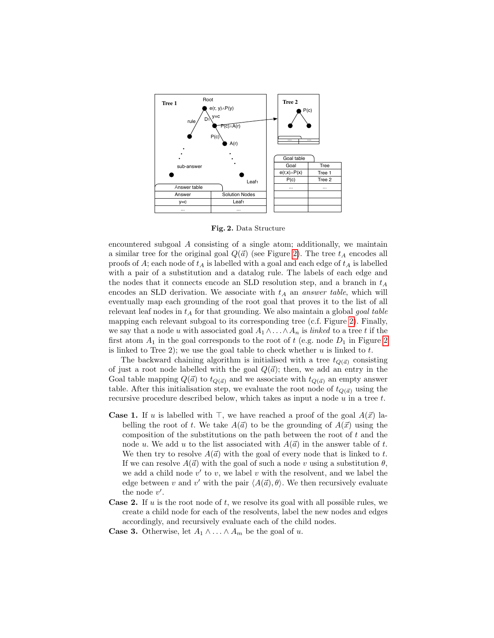

<span id="page-9-0"></span>Fig. 2. Data Structure

encountered subgoal A consisting of a single atom; additionally, we maintain a similar tree for the original goal  $Q(\vec{a})$  (see Figure [2\)](#page-9-0). The tree  $t_A$  encodes all proofs of  $A$ ; each node of  $t_A$  is labelled with a goal and each edge of  $t_A$  is labelled with a pair of a substitution and a datalog rule. The labels of each edge and the nodes that it connects encode an SLD resolution step, and a branch in  $t_A$ encodes an SLD derivation. We associate with  $t_A$  an answer table, which will eventually map each grounding of the root goal that proves it to the list of all relevant leaf nodes in  $t_A$  for that grounding. We also maintain a global *goal table* mapping each relevant subgoal to its corresponding tree (c.f. Figure [2\)](#page-9-0). Finally, we say that a node u with associated goal  $A_1 \wedge \ldots \wedge A_n$  is linked to a tree t if the first atom  $A_1$  in the goal corresponds to the root of t (e.g. node  $D_1$  in Figure [2](#page-9-0) is linked to Tree 2); we use the goal table to check whether  $u$  is linked to  $t$ .

The backward chaining algorithm is initialised with a tree  $t_{O(\vec{a})}$  consisting of just a root node labelled with the goal  $Q(\vec{a})$ ; then, we add an entry in the Goal table mapping  $Q(\vec{a})$  to  $t_{Q(\vec{a})}$  and we associate with  $t_{Q(\vec{a})}$  an empty answer table. After this initialisation step, we evaluate the root node of  $t_{Q(\vec{a})}$  using the recursive procedure described below, which takes as input a node  $u$  in a tree  $t$ .

- **Case 1.** If u is labelled with  $\top$ , we have reached a proof of the goal  $A(\vec{x})$  labelling the root of t. We take  $A(\vec{a})$  to be the grounding of  $A(\vec{x})$  using the composition of the substitutions on the path between the root of  $t$  and the node u. We add u to the list associated with  $A(\vec{a})$  in the answer table of t. We then try to resolve  $A(\vec{a})$  with the goal of every node that is linked to t. If we can resolve  $A(\vec{a})$  with the goal of such a node v using a substitution  $\theta$ , we add a child node  $v'$  to v, we label v with the resolvent, and we label the edge between v and v' with the pair  $\langle A(\vec{a}), \theta \rangle$ . We then recursively evaluate the node  $v'$ .
- **Case 2.** If u is the root node of t, we resolve its goal with all possible rules, we create a child node for each of the resolvents, label the new nodes and edges accordingly, and recursively evaluate each of the child nodes.
- **Case 3.** Otherwise, let  $A_1 \wedge \ldots \wedge A_m$  be the goal of u.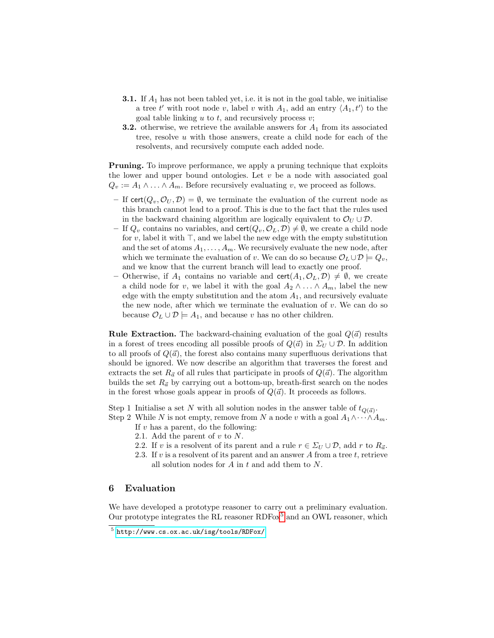- **3.1.** If  $A_1$  has not been tabled yet, i.e. it is not in the goal table, we initialise a tree t' with root node v, label v with  $A_1$ , add an entry  $\langle A_1, t' \rangle$  to the goal table linking  $u$  to  $t$ , and recursively process  $v$ ;
- **3.2.** otherwise, we retrieve the available answers for  $A_1$  from its associated tree, resolve  $u$  with those answers, create a child node for each of the resolvents, and recursively compute each added node.

Pruning. To improve performance, we apply a pruning technique that exploits the lower and upper bound ontologies. Let  $v$  be a node with associated goal  $Q_v := A_1 \wedge \ldots \wedge A_m$ . Before recursively evaluating v, we proceed as follows.

- If cert $(Q_v, \mathcal{O}_U, \mathcal{D}) = \emptyset$ , we terminate the evaluation of the current node as this branch cannot lead to a proof. This is due to the fact that the rules used in the backward chaining algorithm are logically equivalent to  $\mathcal{O}_U \cup \mathcal{D}$ .
- If  $Q_v$  contains no variables, and cert $(Q_v, \mathcal{O}_L, \mathcal{D}) \neq \emptyset$ , we create a child node for v, label it with  $\top$ , and we label the new edge with the empty substitution and the set of atoms  $A_1, \ldots, A_m$ . We recursively evaluate the new node, after which we terminate the evaluation of v. We can do so because  $\mathcal{O}_L \cup \mathcal{D} \models Q_v$ , and we know that the current branch will lead to exactly one proof.
- Otherwise, if  $A_1$  contains no variable and cert $(A_1, O_L, \mathcal{D}) \neq \emptyset$ , we create a child node for v, we label it with the goal  $A_2 \wedge \ldots \wedge A_m$ , label the new edge with the empty substitution and the atom  $A_1$ , and recursively evaluate the new node, after which we terminate the evaluation of  $v$ . We can do so because  $\mathcal{O}_L \cup \mathcal{D} \models A_1$ , and because v has no other children.

**Rule Extraction.** The backward-chaining evaluation of the goal  $Q(\vec{a})$  results in a forest of trees encoding all possible proofs of  $Q(\vec{a})$  in  $\Sigma_U \cup \mathcal{D}$ . In addition to all proofs of  $Q(\vec{a})$ , the forest also contains many superfluous derivations that should be ignored. We now describe an algorithm that traverses the forest and extracts the set  $R_{\vec{a}}$  of all rules that participate in proofs of  $Q(\vec{a})$ . The algorithm builds the set  $R_{\vec{a}}$  by carrying out a bottom-up, breath-first search on the nodes in the forest whose goals appear in proofs of  $Q(\vec{a})$ . It proceeds as follows.

Step 1 Initialise a set N with all solution nodes in the answer table of  $t_{Q(\vec{a})}$ .

Step 2 While N is not empty, remove from N a node v with a goal  $A_1 \wedge \cdots \wedge A_m$ .

- If  $v$  has a parent, do the following:
- 2.1. Add the parent of  $v$  to  $N$ .
- 2.2. If v is a resolvent of its parent and a rule  $r \in \Sigma_U \cup \mathcal{D}$ , add r to  $R_{\vec{a}}$ .
- 2.3. If v is a resolvent of its parent and an answer  $A$  from a tree  $t$ , retrieve all solution nodes for  $A$  in  $t$  and add them to  $N$ .

### 6 Evaluation

We have developed a prototype reasoner to carry out a preliminary evaluation. Our prototype integrates the RL reasoner  $RDF_0x^5$  $RDF_0x^5$  and an OWL reasoner, which

<span id="page-10-0"></span><sup>5</sup> <http://www.cs.ox.ac.uk/isg/tools/RDFox/>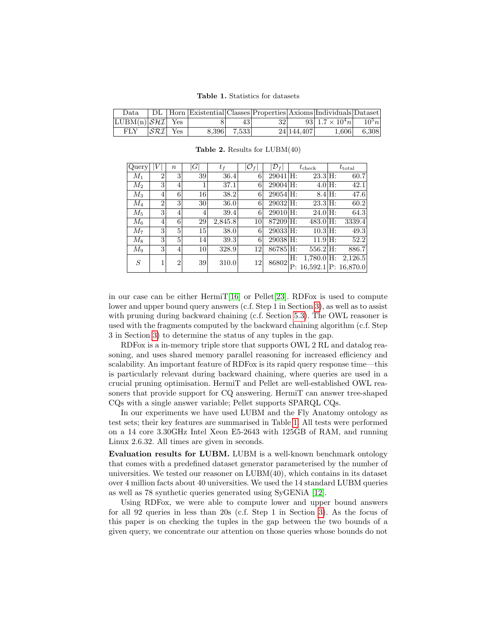<span id="page-11-0"></span>Table 1. Statistics for datasets

| Data.                                       |  |             |     |            | DL   Horn   Existential   Classes   Properties   Axioms   Individuals   Dataset |             |
|---------------------------------------------|--|-------------|-----|------------|---------------------------------------------------------------------------------|-------------|
| $\lfloor LUBM(n)/\mathcal{SHT} \rfloor$ Yes |  | 43          | 321 |            | 93 $1.7 \times 10^4 n$ $10^5 n$                                                 |             |
| $FLY$ $ \mathcal{SRI} $ Yes                 |  | 8.396 7.533 |     | 24 144,407 |                                                                                 | 1,606 6,308 |

| Query   |                | $\boldsymbol{n}$ | $\left  G\right $ | $t_{f}$ | $\mathcal{O}_f$ | $ {\cal D}_f $ |    | $t_{\rm check}$ | $t_{\rm total}$               |
|---------|----------------|------------------|-------------------|---------|-----------------|----------------|----|-----------------|-------------------------------|
| $M_1$   | $\overline{2}$ | 3                | 39                | 36.4    | 6               | $29041$ H:     |    | $23.3$ H:       | 60.7                          |
| $M_2$   | 3              | 4                | 1                 | 37.1    | 6               | $29004$ H:     |    | $4.0$ H:        | 42.1                          |
| $M_3$   | 4              | 6                | 16                | 38.2    | 6               | $29054$ H:     |    | $8.4$ H:        | 47.6                          |
| $M_{4}$ | $\overline{2}$ | 3                | 30                | 36.0    | 6               | 29032 H:       |    | $23.3$ H:       | 60.2                          |
| $M_5$   | 3              | 4                | 4                 | 39.4    | 6               | $29010$ H:     |    | $24.0$ H:       | 64.3                          |
| $M_{6}$ | 4              | 6                | 29                | 2,845.8 | 10              | $87209$ H:     |    | $483.0$ H:      | 3339.4                        |
| $M_7$   | 3              | 5                | 15                | 38.0    | 6               | 29033 H:       |    | $10.3$ H:       | 49.3                          |
| $M_8$   | 3              | 5                | 14                | 39.3    | 6               | $29038$ H:     |    | $11.9$ H:       | 52.2                          |
| $M_9$   | 3              | 4                | 10                | 328.9   | 12              | $86785$ H:     |    | $556.2$ H:      | 886.7                         |
| S       |                | $\overline{2}$   | 39                | 310.0   | 12              | 86802          | Н: | $1,780.0$ H:    | 2,126.5                       |
|         |                |                  |                   |         |                 |                |    |                 | $P: 16,592.1$ $ P: 16,870.0 $ |

<span id="page-11-1"></span>Table 2. Results for  $LUBM(40)$ 

in our case can be either HermiT[\[16\]](#page-15-0) or Pellet[\[23\]](#page-15-1). RDFox is used to compute lower and upper bound query answers (c.f. Step 1 in Section [3\)](#page-3-7), as well as to assist with pruning during backward chaining (c.f. Section [5.3\)](#page-9-0). The OWL reasoner is used with the fragments computed by the backward chaining algorithm (c.f. Step 3 in Section [3\)](#page-3-7) to determine the status of any tuples in the gap.

RDFox is a in-memory triple store that supports OWL 2 RL and datalog reasoning, and uses shared memory parallel reasoning for increased efficiency and scalability. An important feature of RDFox is its rapid query response time—this is particularly relevant during backward chaining, where queries are used in a crucial pruning optimisation. HermiT and Pellet are well-established OWL reasoners that provide support for CQ answering. HermiT can answer tree-shaped CQs with a single answer variable; Pellet supports SPARQL CQs.

In our experiments we have used LUBM and the Fly Anatomy ontology as test sets; their key features are summarised in Table [1.](#page-11-0) All tests were performed on a 14 core 3.30GHz Intel Xeon E5-2643 with 125GB of RAM, and running Linux 2.6.32. All times are given in seconds.

Evaluation results for LUBM. LUBM is a well-known benchmark ontology that comes with a predefined dataset generator parameterised by the number of universities. We tested our reasoner on  $LUBM(40)$ , which contains in its dataset over 4 million facts about 40 universities. We used the 14 standard LUBM queries as well as 78 synthetic queries generated using SyGENiA [\[12\]](#page-15-9).

Using RDFox, we were able to compute lower and upper bound answers for all 92 queries in less than 20s (c.f. Step 1 in Section [3\)](#page-3-7). As the focus of this paper is on checking the tuples in the gap between the two bounds of a given query, we concentrate our attention on those queries whose bounds do not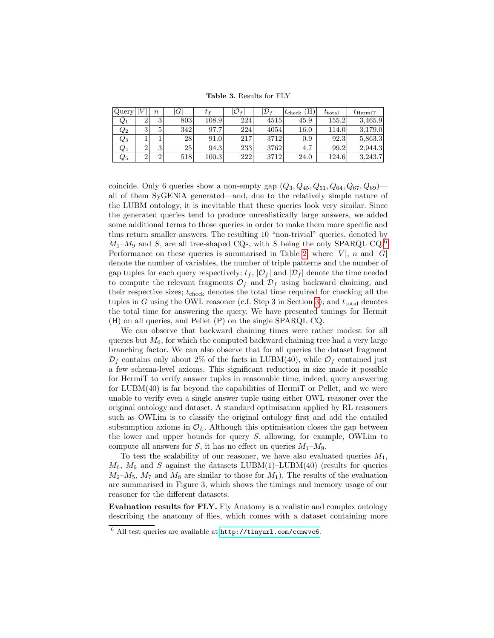<span id="page-12-1"></span>Table 3. Results for FLY

| Query              |   | $\boldsymbol{n}$       | $G^{\prime}$ |       | $\mathcal{O}_f$ | $\mathcal{D}_{f}$ | (H<br>$t_{\rm check}$ | $t_{\rm total}$ | $t_{\rm HermiT}$ |
|--------------------|---|------------------------|--------------|-------|-----------------|-------------------|-----------------------|-----------------|------------------|
| $\,Q_1$            |   | $\mathbf{\Omega}$<br>υ | 803          | 108.9 | 224             | 4515              | 45.9                  | 155.2           | 3,465.9          |
| $\scriptstyle Q_2$ | 3 | 5                      | 342          | 97.7  | 224             | 4054              | $16.0\,$              | 114.0           | 3,179.0          |
| $\scriptstyle Q_3$ |   |                        | 28           | 91.0  | 217             | 3712              | 0.9                   | 92.3            | 5,863.3          |
| $Q_4$              |   | $\mathbf{Q}$           | 25           | 94.3  | 233             | 3762              | 4.7                   | 99.2            | 2.944.3          |
| $\scriptstyle Q_5$ |   |                        | 518          | 100.3 | 222             | 3712              | 24.0                  | 124.6           | 3,243.7          |

coincide. Only 6 queries show a non-empty gap  $(Q_3, Q_{45}, Q_{51}, Q_{64}, Q_{67}, Q_{69})$ all of them SyGENiA generated—and, due to the relatively simple nature of the LUBM ontology, it is inevitable that these queries look very similar. Since the generated queries tend to produce unrealistically large answers, we added some additional terms to those queries in order to make them more specific and thus return smaller answers. The resulting 10 "non-trivial" queries, denoted by  $M_1-M_9$  and S, are all tree-shaped CQs, with S being the only SPARQL CQ.<sup>[6](#page-12-0)</sup> Performance on these queries is summarised in Table [2,](#page-11-1) where  $|V|$ , n and  $|G|$ denote the number of variables, the number of triple patterns and the number of gap tuples for each query respectively;  $t_f$ ,  $|\mathcal{O}_f|$  and  $|\mathcal{D}_f|$  denote the time needed to compute the relevant fragments  $\mathcal{O}_f$  and  $\mathcal{D}_f$  using backward chaining, and their respective sizes;  $t_{\text{check}}$  denotes the total time required for checking all the tuples in G using the OWL reasoner (c.f. Step 3 in Section [3\)](#page-3-7); and  $t_{\text{total}}$  denotes the total time for answering the query. We have presented timings for Hermit (H) on all queries, and Pellet (P) on the single SPARQL CQ.

We can observe that backward chaining times were rather modest for all queries but  $M_6$ , for which the computed backward chaining tree had a very large branching factor. We can also observe that for all queries the dataset fragment  $\mathcal{D}_f$  contains only about 2% of the facts in LUBM(40), while  $\mathcal{O}_f$  contained just a few schema-level axioms. This significant reduction in size made it possible for HermiT to verify answer tuples in reasonable time; indeed, query answering for LUBM(40) is far beyond the capabilities of HermiT or Pellet, and we were unable to verify even a single answer tuple using either OWL reasoner over the original ontology and dataset. A standard optimisation applied by RL reasoners such as OWLim is to classify the original ontology first and add the entailed subsumption axioms in  $\mathcal{O}_L$ . Although this optimisation closes the gap between the lower and upper bounds for query S, allowing, for example, OWLim to compute all answers for S, it has no effect on queries  $M_1-M_9$ .

To test the scalability of our reasoner, we have also evaluated queries  $M_1$ ,  $M_6$ ,  $M_9$  and S against the datasets LUBM(1)–LUBM(40) (results for queries  $M_2-M_5$ ,  $M_7$  and  $M_8$  are similar to those for  $M_1$ ). The results of the evaluation are summarised in Figure 3, which shows the timings and memory usage of our reasoner for the different datasets.

Evaluation results for FLY. Fly Anatomy is a realistic and complex ontology describing the anatomy of flies, which comes with a dataset containing more

<span id="page-12-0"></span> $6$  All test queries are available at <http://tinyurl.com/ccmwvc6>.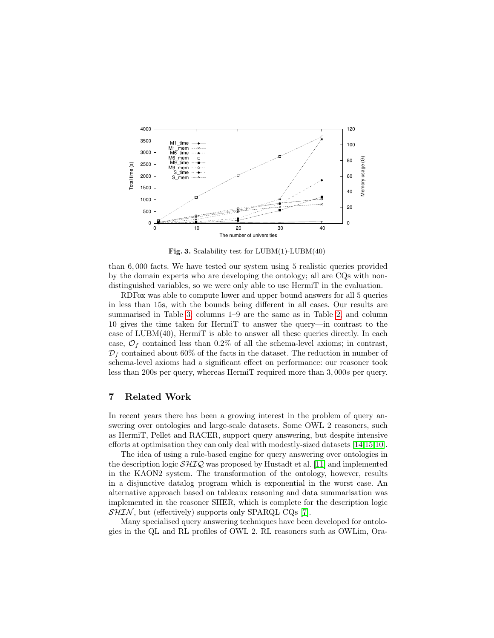

Fig. 3. Scalability test for  $LUBM(1)-LUBM(40)$ 

than 6, 000 facts. We have tested our system using 5 realistic queries provided by the domain experts who are developing the ontology; all are CQs with nondistinguished variables, so we were only able to use HermiT in the evaluation.

RDFox was able to compute lower and upper bound answers for all 5 queries in less than 15s, with the bounds being different in all cases. Our results are summarised in Table [3;](#page-12-1) columns 1–9 are the same as in Table [2,](#page-11-1) and column 10 gives the time taken for HermiT to answer the query—in contrast to the case of LUBM(40), HermiT is able to answer all these queries directly. In each case,  $\mathcal{O}_f$  contained less than 0.2% of all the schema-level axioms; in contrast,  $\mathcal{D}_f$  contained about 60% of the facts in the dataset. The reduction in number of schema-level axioms had a significant effect on performance: our reasoner took less than 200s per query, whereas HermiT required more than 3, 000s per query.

# 7 Related Work

In recent years there has been a growing interest in the problem of query answering over ontologies and large-scale datasets. Some OWL 2 reasoners, such as HermiT, Pellet and RACER, support query answering, but despite intensive efforts at optimisation they can only deal with modestly-sized datasets [\[14,](#page-15-10)[15,](#page-15-11)[10\]](#page-15-12).

The idea of using a rule-based engine for query answering over ontologies in the description logic  $\mathcal{SHIQ}$  was proposed by Hustadt et al. [\[11\]](#page-15-13) and implemented in the KAON2 system. The transformation of the ontology, however, results in a disjunctive datalog program which is exponential in the worst case. An alternative approach based on tableaux reasoning and data summarisation was implemented in the reasoner SHER, which is complete for the description logic  $SHIN$ , but (effectively) supports only SPARQL CQs [\[7\]](#page-15-14).

Many specialised query answering techniques have been developed for ontologies in the QL and RL profiles of OWL 2. RL reasoners such as OWLim, Ora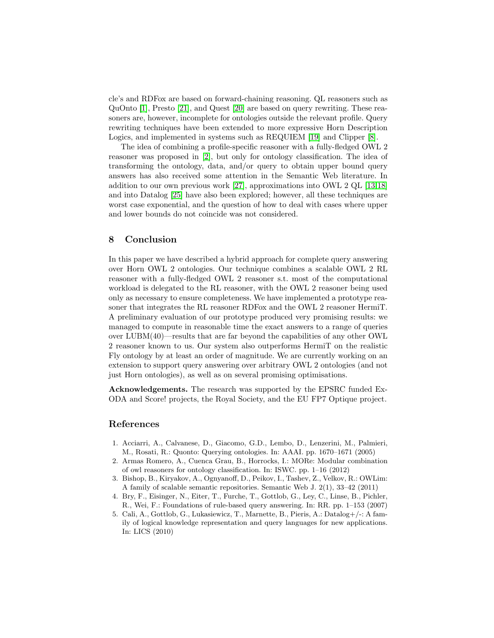cle's and RDFox are based on forward-chaining reasoning. QL reasoners such as QuOnto [\[1\]](#page-14-3), Presto [\[21\]](#page-15-15), and Quest [\[20\]](#page-15-16) are based on query rewriting. These reasoners are, however, incomplete for ontologies outside the relevant profile. Query rewriting techniques have been extended to more expressive Horn Description Logics, and implemented in systems such as REQUIEM [\[19\]](#page-15-17) and Clipper [\[8\]](#page-15-18).

The idea of combining a profile-specific reasoner with a fully-fledged OWL 2 reasoner was proposed in [\[2\]](#page-14-4), but only for ontology classification. The idea of transforming the ontology, data, and/or query to obtain upper bound query answers has also received some attention in the Semantic Web literature. In addition to our own previous work [\[27\]](#page-15-5), approximations into OWL 2 QL [\[13,](#page-15-19)[18\]](#page-15-20) and into Datalog [\[25\]](#page-15-21) have also been explored; however, all these techniques are worst case exponential, and the question of how to deal with cases where upper and lower bounds do not coincide was not considered.

## 8 Conclusion

In this paper we have described a hybrid approach for complete query answering over Horn OWL 2 ontologies. Our technique combines a scalable OWL 2 RL reasoner with a fully-fledged OWL 2 reasoner s.t. most of the computational workload is delegated to the RL reasoner, with the OWL 2 reasoner being used only as necessary to ensure completeness. We have implemented a prototype reasoner that integrates the RL reasoner RDFox and the OWL 2 reasoner HermiT. A preliminary evaluation of our prototype produced very promising results: we managed to compute in reasonable time the exact answers to a range of queries over LUBM(40)—results that are far beyond the capabilities of any other OWL 2 reasoner known to us. Our system also outperforms HermiT on the realistic Fly ontology by at least an order of magnitude. We are currently working on an extension to support query answering over arbitrary OWL 2 ontologies (and not just Horn ontologies), as well as on several promising optimisations.

Acknowledgements. The research was supported by the EPSRC funded Ex-ODA and Score! projects, the Royal Society, and the EU FP7 Optique project.

# References

- <span id="page-14-3"></span>1. Acciarri, A., Calvanese, D., Giacomo, G.D., Lembo, D., Lenzerini, M., Palmieri, M., Rosati, R.: Quonto: Querying ontologies. In: AAAI. pp. 1670–1671 (2005)
- <span id="page-14-4"></span>2. Armas Romero, A., Cuenca Grau, B., Horrocks, I.: MORe: Modular combination of owl reasoners for ontology classification. In: ISWC. pp. 1–16 (2012)
- <span id="page-14-0"></span>3. Bishop, B., Kiryakov, A., Ognyanoff, D., Peikov, I., Tashev, Z., Velkov, R.: OWLim: A family of scalable semantic repositories. Semantic Web J. 2(1), 33–42 (2011)
- <span id="page-14-1"></span>4. Bry, F., Eisinger, N., Eiter, T., Furche, T., Gottlob, G., Ley, C., Linse, B., Pichler, R., Wei, F.: Foundations of rule-based query answering. In: RR. pp. 1–153 (2007)
- <span id="page-14-2"></span>5. Cali, A., Gottlob, G., Lukasiewicz, T., Marnette, B., Pieris, A.: Datalog+/-: A family of logical knowledge representation and query languages for new applications. In: LICS (2010)